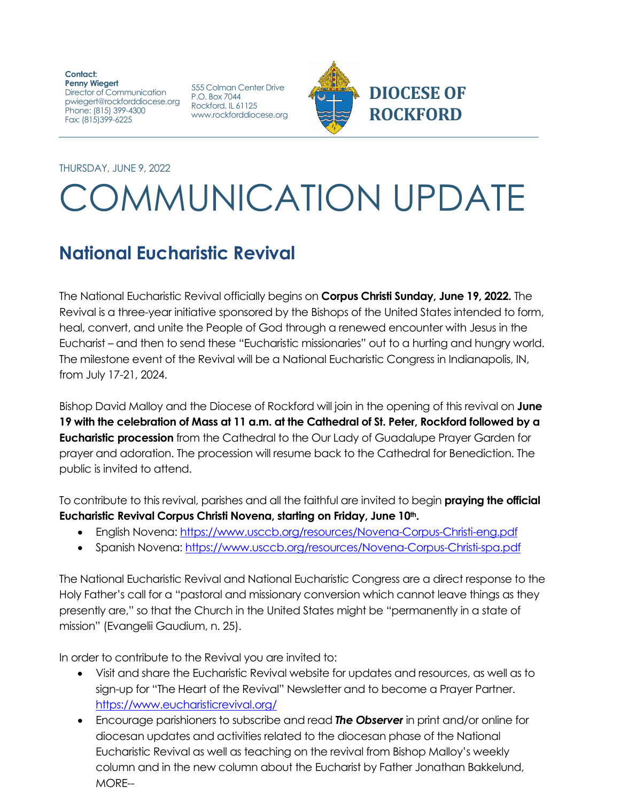**Contact: Penny Wiegert** Director of Communication pwiegert@rockforddiocese.org P.O. Box 7044 Phone: (815) 399-4300 Fax: (815)399-6225

555 Colman Center Drive<br>P.O. Box 7044 Rockford, IL 61125 www.rockforddiocese.org



THURSDAY, JUNE 9, 2022

## COMMUNICATION UPDATE

## **National Eucharistic Revival**

The National Eucharistic Revival officially begins on **Corpus Christi Sunday, June 19, 2022.** The Revival is a three-year initiative sponsored by the Bishops of the United States intended to form, heal, convert, and unite the People of God through a renewed encounter with Jesus in the Eucharist – and then to send these "Eucharistic missionaries" out to a hurting and hungry world. The milestone event of the Revival will be a National Eucharistic Congress in Indianapolis, IN, from July 17-21, 2024.

Bishop David Malloy and the Diocese of Rockford will join in the opening of this revival on **June 19 with the celebration of Mass at 11 a.m. at the Cathedral of St. Peter, Rockford followed by a Eucharistic procession** from the Cathedral to the Our Lady of Guadalupe Prayer Garden for prayer and adoration. The procession will resume back to the Cathedral for Benediction. The public is invited to attend.

To contribute to this revival, parishes and all the faithful are invited to begin **praying the official**  Eucharistic Revival Corpus Christi Novena, starting on Friday, June 10<sup>th</sup>.

- English Novena:<https://www.usccb.org/resources/Novena-Corpus-Christi-eng.pdf>
- Spanish Novena:<https://www.usccb.org/resources/Novena-Corpus-Christi-spa.pdf>

The National Eucharistic Revival and National Eucharistic Congress are a direct response to the Holy Father's call for a "pastoral and missionary conversion which cannot leave things as they presently are," so that the Church in the United States might be "permanently in a state of mission" (Evangelii Gaudium, n. 25).

In order to contribute to the Revival you are invited to:

- Visit and share the Eucharistic Revival website for updates and resources, as well as to sign-up for "The Heart of the Revival" Newsletter and to become a Prayer Partner. <https://www.eucharisticrevival.org/>
- Encourage parishioners to subscribe and read *The Observer* in print and/or online for diocesan updates and activities related to the diocesan phase of the National Eucharistic Revival as well as teaching on the revival from Bishop Malloy's weekly column and in the new column about the Eucharist by Father Jonathan Bakkelund, MORE--